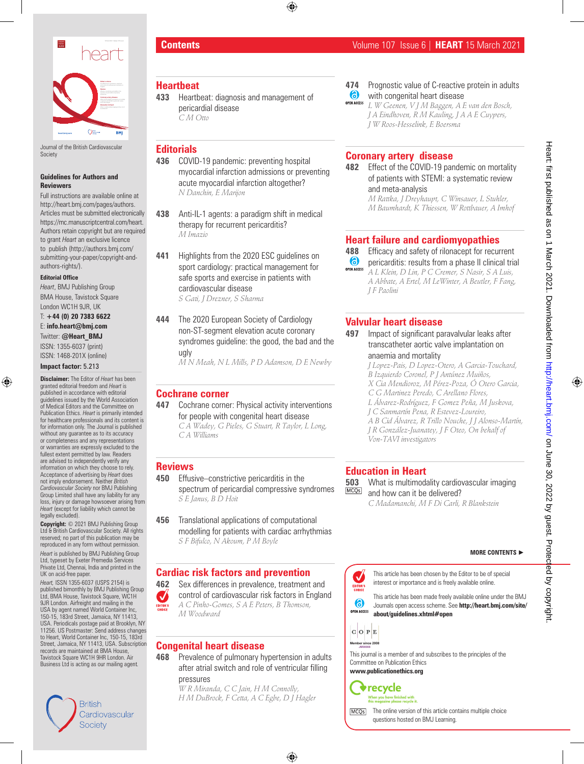

Journal of the British Cardiovascular Society

#### **Guidelines for Authors and Reviewers**

Full instructions are available online at http://heart.bmj.com/pages/authors. Articles must be submitted electronically https://mc.manuscriptcentral.com/heart. Authors retain copyright but are required to grant *Heart* an exclusive licence to publish (http://authors.bmj.com/ submitting-your-paper/copyright-andauthors-rights/).

#### **Editorial Office**

*Heart*, BMJ Publishing Group BMA House, Tavistock Square London WC1H 9JR, UK

T: **+44 (0) 20 7383 6622**  E: **info.heart@bmj.com**  Twitter: **@Heart\_BMJ** ISSN: 1355-6037 (print)

ISSN: 1468-201X (online)

#### **Impact factor:** 5.213

**Disclaimer:** The Editor of *Heart* has been granted editorial freedom and *Heart* is published in accordance with editorial guidelines issued by the World Association of Medical Editors and the Committee on Publication Ethics. *Heart* is primarily intended for healthcare professionals and its content is for information only. The Journal is published without any guarantee as to its accuracy or completeness and any representations or warranties are expressly excluded to the fullest extent permitted by law. Readers are advised to independently verify any information on which they choose to rely. Acceptance of advertising by *Heart* does not imply endorsement. Neither *British Cardiovascular Society* nor BMJ Publishing Group Limited shall have any liability for any loss, injury or damage howsoever arising from *Heart* (except for liability which cannot be legally excluded).

**Copyright:** © 2021 BMJ Publishing Group Ltd & British Cardiovascular Society. All rights reserved; no part of this publication may be reproduced in any form without permission.

*Heart* is published by BMJ Publishing Group Ltd, typeset by Exeter Premedia Services Private Ltd, Chennai, India and printed in the UK on acid-free paper.

*Heart,* ISSN 1355-6037 (USPS 2154) is published bimonthly by BMJ Publishing Group Ltd, BMA House, Tavistock Square, WC1H 9JR London. Airfreight and mailing in the USA by agent named World Container Inc, 150-15, 183rd Street, Jamaica, NY 11413, USA. Periodicals postage paid at Brooklyn, NY 11256. US Postmaster: Send address changes to Heart, World Container Inc, 150-15, 183rd Street, Jamaica, NY 11413, USA. Subscription records are maintained at BMA House, Tavistock Square WC1H 9HR London. Air Business Ltd is acting as our mailing agent*.*

# British Cardiovascular Society

## **Heartbeat**

**433** Heartbeat: diagnosis and management of pericardial disease *C M Otto*

## **Editorials**

- **436** COVID-19 pandemic: preventing hospital myocardial infarction admissions or preventing acute myocardial infarction altogether? *N Danchin, E Marijon*
- **438** Anti-IL-1 agents: a paradigm shift in medical therapy for recurrent pericarditis? *M Imazio*
- **441** Highlights from the 2020 ESC guidelines on sport cardiology: practical management for safe sports and exercise in patients with cardiovascular disease *S Gati, J Drezner, S Sharma*
- **444** The 2020 European Society of Cardiology non-ST-segment elevation acute coronary syndromes guideline: the good, the bad and the ugly

*M N Meah, N L Mills, P D Adamson, D E Newby*

#### **Cochrane corner**

**447** Cochrane corner: Physical activity interventions for people with congenital heart disease *C A Wadey, G Pieles, G Stuart, R Taylor, L Long, C A Williams*

#### **Reviews**

- **450** Effusive–constrictive pericarditis in the spectrum of pericardial compressive syndromes *S E Janus, B D Hoit*
- **456** Translational applications of computational modelling for patients with cardiac arrhythmias *S F Bifulco, N Akoum, P M Boyle*

# **Cardiac risk factors and prevention**

**462** Sex differences in prevalence, treatment and control of cardiovascular risk factors in England V *A C Pinho-Gomes, S A E Peters, B Thomson, M Woodward*

# **Congenital heart disease**

**468** Prevalence of pulmonary hypertension in adults after atrial switch and role of ventricular filling pressures

*W R Miranda, C C Jain, H M Connolly, H M DuBrock, F Cetta, A C Egbe, D J Hagler*

- **474** Prognostic value of C-reactive protein in adults 6 with congenital heart disease
- *L W Geenen, V J M Baggen, A E van den Bosch, J A Eindhoven, R M Kauling, J A A E Cuypers, J W Roos-Hesselink, E Boersma*

## **Coronary artery disease**

**482** Effect of the COVID-19 pandemic on mortality of patients with STEMI: a systematic review and meta-analysis

*M Rattka, J Dreyhaupt, C Winsauer, L Stuhler, M Baumhardt, K Thiessen, W Rottbauer, A Imhof*

#### **Heart failure and cardiomyopathies**

- **488** Efficacy and safety of rilonacept for recurrent
- **6** pericarditis: results from a phase II clinical trial **OPEN ACCESS** *A L Klein, D Lin, P C Cremer, S Nasir, S A Luis, A Abbate, A Ertel, M LeWinter, A Beutler, F Fang, J F Paolini*

# **Valvular heart disease**

- **497** Impact of significant paravalvular leaks after transcatheter aortic valve implantation on anaemia and mortality
	- *J Lopez-Pais, D Lopez-Otero, A Garcia-Touchard, B Izquierdo Coronel, P J Antúnez Muiños, X Cia Mendioroz, M Pérez-Poza, Ó Otero Garcia, C G Martinez Peredo, C Arellano Flores, L Álvarez-Rodríguez, F Gomez Peña, M Juskova, J C Sanmartín Pena, R Estevez-Loureiro, A B Cid Álvarez, R Trillo Nouche, J J Alonso-Martín, J R González-Juanatey, J F Oteo, On behalf of Von-TAVI investigators*

# **Education in Heart**

**503** What is multimodality cardiovascular imaging and how can it be delivered? *C Madamanchi, M F Di Carli, R Blankstein*

#### **MORE CONTENTS** ►

This article has been chosen by the Editor to be of special  $\checkmark$ interest or importance and is freely available online. EDITOR'S<br>CHOICE

This article has been made freely available online under the BMJ Journals open access scheme. See **http://heart.bmj.com/site/ OPEN ACCESS about/guidelines.xhtml#open**



க



**www.publicationethics.org**

 $\blacklozenge$  recycle When you have finished with<br>this magazine please recycle it.



The online version of this article contains multiple choice

# **Contents** Volume 107 Issue 6 | **HEART** 15 March 2021